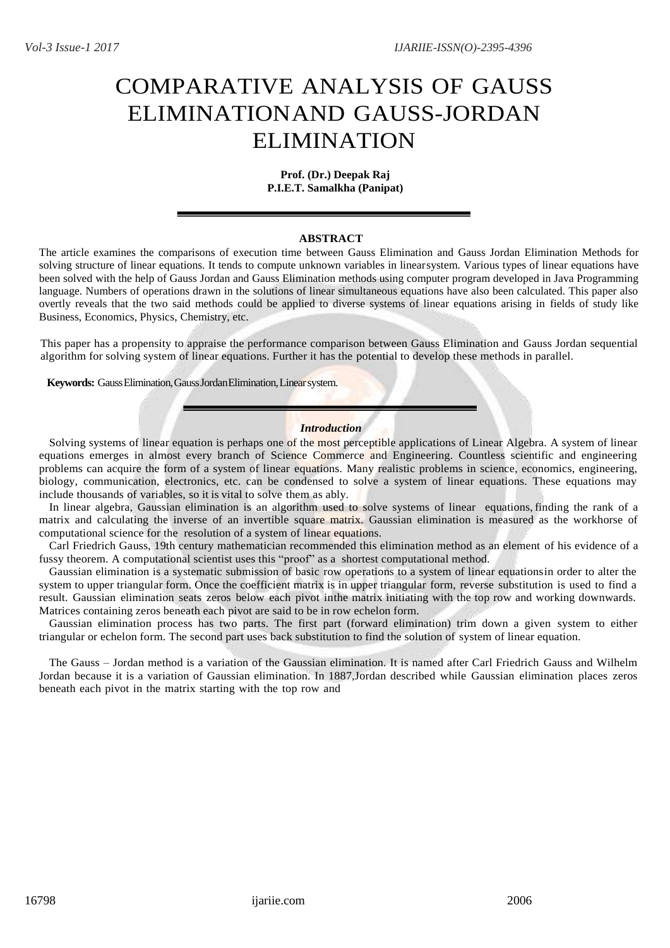# COMPARATIVE ANALYSIS OF GAUSS ELIMINATIONAND GAUSS-JORDAN ELIMINATION

#### **Prof. (Dr.) Deepak Raj P.I.E.T. Samalkha (Panipat)**

# **ABSTRACT**

The article examines the comparisons of execution time between Gauss Elimination and Gauss Jordan Elimination Methods for solving structure of linear equations. It tends to compute unknown variables in linearsystem. Various types of linear equations have been solved with the help of Gauss Jordan and Gauss Elimination methods using computer program developed in Java Programming language. Numbers of operations drawn in the solutions of linear simultaneous equations have also been calculated. This paper also overtly reveals that the two said methods could be applied to diverse systems of linear equations arising in fields of study like Business, Economics, Physics, Chemistry, etc.

This paper has a propensity to appraise the performance comparison between Gauss Elimination and Gauss Jordan sequential algorithm for solving system of linear equations. Further it has the potential to develop these methods in parallel.

**Keywords:** GaussElimination,GaussJordanElimination,Linearsystem.

## *Introduction*

Solving systems of linear equation is perhaps one of the most perceptible applications of Linear Algebra. A system of linear equations emerges in almost every branch of Science Commerce and Engineering. Countless scientific and engineering problems can acquire the form of a system of linear equations. Many realistic problems in science, economics, engineering, biology, communication, electronics, etc. can be condensed to solve a system of linear equations. These equations may include thousands of variables, so it is vital to solve them as ably.

In linear algebra, Gaussian elimination is an algorithm used to solve systems of linear equations, finding the rank of a matrix and calculating the inverse of an invertible square matrix. Gaussian elimination is measured as the workhorse of computational science for the resolution of a system of linear equations.

Carl Friedrich Gauss, 19th century mathematician recommended this elimination method as an element of his evidence of a fussy theorem. A computational scientist uses this "proof" as a shortest computational method.

Gaussian elimination is a systematic submission of basic row operations to a system of linear equationsin order to alter the system to upper triangular form. Once the coefficient matrix is in upper triangular form, reverse substitution is used to find a result. Gaussian elimination seats zeros below each pivot inthe matrix initiating with the top row and working downwards. Matrices containing zeros beneath each pivot are said to be in row echelon form.

Gaussian elimination process has two parts. The first part (forward elimination) trim down a given system to either triangular or echelon form. The second part uses back substitution to find the solution of system of linear equation.

The Gauss – Jordan method is a variation of the Gaussian elimination. It is named after Carl Friedrich Gauss and Wilhelm Jordan because it is a variation of Gaussian elimination. In 1887,Jordan described while Gaussian elimination places zeros beneath each pivot in the matrix starting with the top row and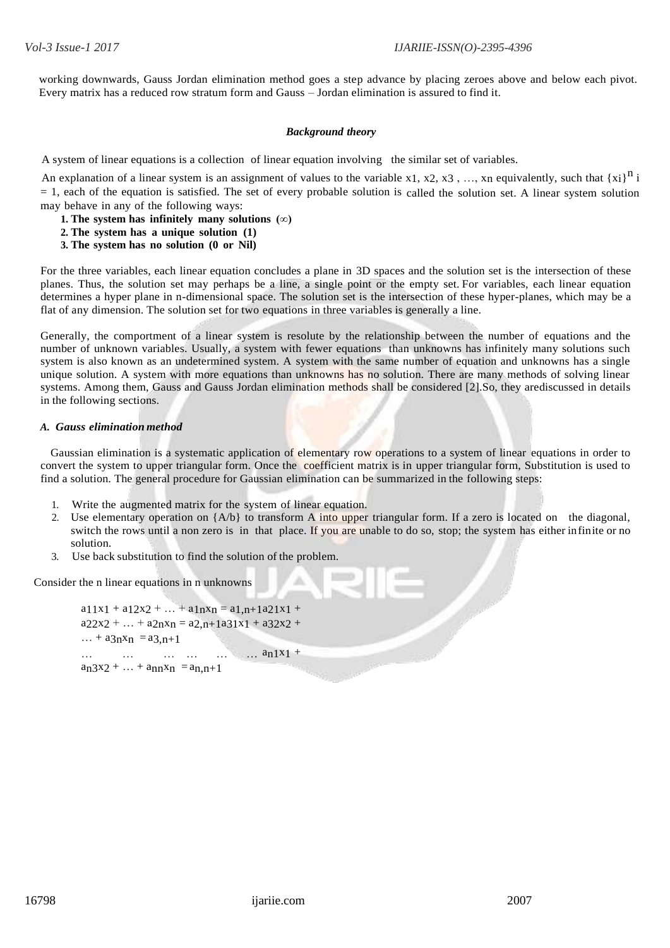working downwards, Gauss Jordan elimination method goes a step advance by placing zeroes above and below each pivot. Every matrix has a reduced row stratum form and Gauss – Jordan elimination is assured to find it.

## *Background theory*

A system of linear equations is a collection of linear equation involving the similar set of variables.

An explanation of a linear system is an assignment of values to the variable x1, x2, x3, ..., x<sub>n</sub> equivalently, such that  $\{x_i\}^n$  i = 1, each of the equation is satisfied. The set of every probable solution is called the solution set. A linear system solution may behave in any of the following ways:

- **1. The system has infinitely many solutions (∞)**
- **2. The system has a unique solution (1)**
- **3. The system has no solution (0 or Nil)**

For the three variables, each linear equation concludes a plane in 3D spaces and the solution set is the intersection of these planes. Thus, the solution set may perhaps be a line, a single point or the empty set. For variables, each linear equation determines a hyper plane in n-dimensional space. The solution set is the intersection of these hyper-planes, which may be a flat of any dimension. The solution set for two equations in three variables is generally a line.

Generally, the comportment of a linear system is resolute by the relationship between the number of equations and the number of unknown variables. Usually, a system with fewer equations than unknowns has infinitely many solutions such system is also known as an undetermined system. A system with the same number of equation and unknowns has a single unique solution. A system with more equations than unknowns has no solution. There are many methods of solving linear systems. Among them, Gauss and Gauss Jordan elimination methods shall be considered [2].So, they arediscussed in details in the following sections.

#### *A. Gauss elimination method*

Gaussian elimination is a systematic application of elementary row operations to a system of linear equations in order to convert the system to upper triangular form. Once the coefficient matrix is in upper triangular form, Substitution is used to find a solution. The general procedure for Gaussian elimination can be summarized in the following steps:

- 1. Write the augmented matrix for the system of linear equation.
- 2. Use elementary operation on  ${A/b}$  to transform A into upper triangular form. If a zero is located on the diagonal, switch the rows until a non zero is in that place. If you are unable to do so, stop; the system has either infinite or no solution.
- 3. Use back substitution to find the solution of the problem.

Consider the n linear equations in n unknowns

 $a_11x_1 + a_12x_2 + ... + a_1nx_n = a_1.n+1a_21x_1 + ...$  $a_2x_2 + ... + a_{2n}x_n = a_{2,n+1}a_3x_1 + a_3x_2 + ...$  $... + a3n^2n = a3_n+1$ … … … … … … an1x1 +  $a_n3x_2 + ... + a_{nn}x_n = a_{n,n+1}$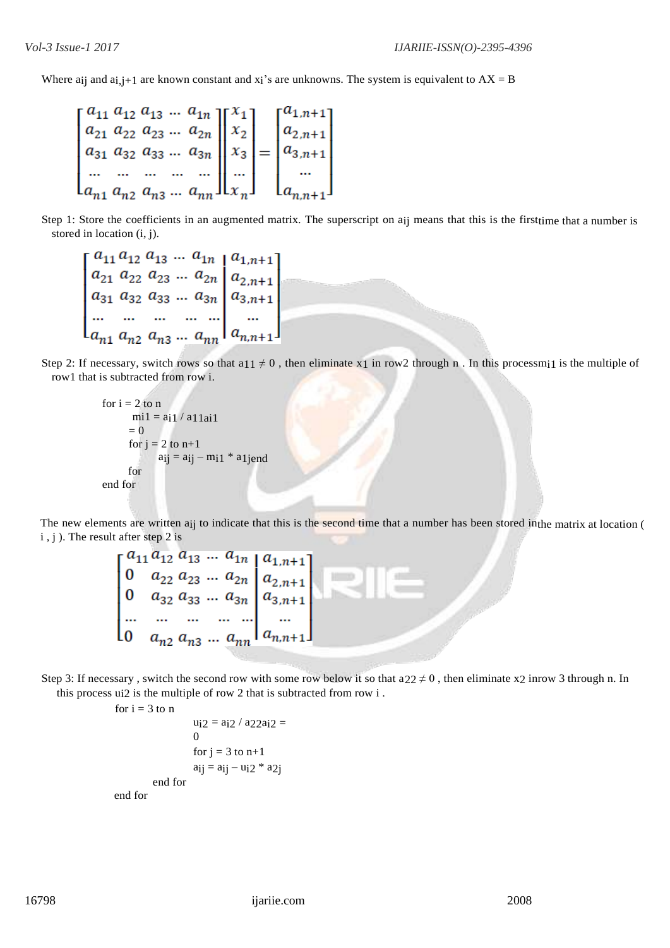Where aij and  $ai,j+1$  are known constant and  $x_i$ 's are unknowns. The system is equivalent to  $AX = B$ 

$$
\begin{bmatrix} a_{11} & a_{12} & a_{13} & \dots & a_{1n} \\ a_{21} & a_{22} & a_{23} & \dots & a_{2n} \\ a_{31} & a_{32} & a_{33} & \dots & a_{3n} \\ \dots & \dots & \dots & \dots & \dots \\ a_{n1} & a_{n2} & a_{n3} & \dots & a_{nn} \end{bmatrix} \begin{bmatrix} x_1 \\ x_2 \\ x_3 \\ \dots \\ x_n \end{bmatrix} = \begin{bmatrix} a_{1,n+1} \\ a_{2,n+1} \\ a_{3,n+1} \\ \dots \\ a_{n,n+1} \end{bmatrix}
$$

Step 1: Store the coefficients in an augmented matrix. The superscript on aij means that this is the firsttime that a number is stored in location (i, j).

Step 2: If necessary, switch rows so that a11  $\neq$  0, then eliminate x1 in row2 through n. In this processmi1 is the multiple of row1 that is subtracted from row i.

for 
$$
i = 2
$$
 to n  
\n $mi1 = ai1 / a11ai1$   
\n $= 0$   
\nfor  $j = 2$  to n+1  
\n $aij = aij - mi1 * a1jend$   
\nfor  
\nend for

The new elements are written a<sub>ij</sub> to indicate that this is the second time that a number has been stored inthe matrix at location ( i , j ). The result after step 2 is

 $\begin{bmatrix} a_{11} a_{12} a_{13} ... a_{1n} \\ 0 & a_{22} a_{23} ... a_{2n} \\ 0 & a_{32} a_{33} ... a_{3n} \\ ... & ... & ... & ... \\ 0 & a_{n} a_{n} a_{n} \end{bmatrix} \begin{bmatrix} a_{1,n+1} \\ a_{2,n+1} \\ a_{3,n+1} \\ ... \\ a_{n} \end{bmatrix}$ 

Step 3: If necessary, switch the second row with some row below it so that  $a22 \neq 0$ , then eliminate x2 inrow 3 through n. In this process ui2 is the multiple of row 2 that is subtracted from row i .

for  $i = 3$  to n

```
u_12 = a_12 / a_22a_12 =\Omegafor j = 3 to n+1aij = a_{ij} - u_{i2} * a_{2j}end for
end for
```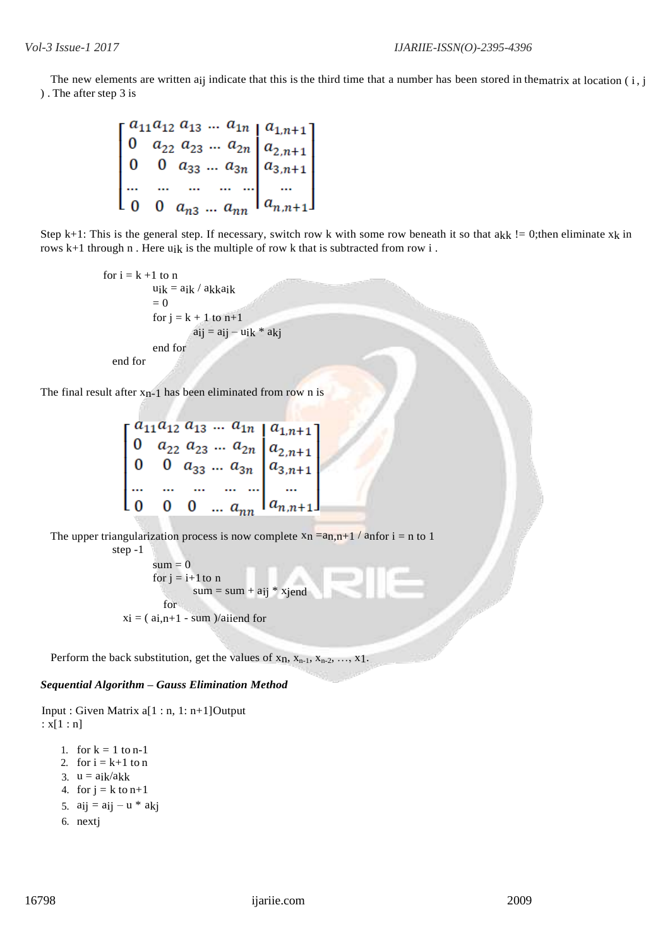The new elements are written a<sub>ij</sub> indicate that this is the third time that a number has been stored in thematrix at location  $(i, j)$ ). The after step 3 is

 $\begin{bmatrix} a_{11}a_{12} & a_{13} & \ldots & a_{1n} & a_{1,n+1} \\ 0 & a_{22} & a_{23} & \ldots & a_{2n} & a_{2,n+1} \\ 0 & 0 & a_{33} & \ldots & a_{3n} & a_{3,n+1} \\ \ldots & \ldots & \ldots & \ldots & \ldots & \ldots \\ 0 & 0 & a_{n2} & \ldots & a_{nn} & a_{n,n+1} \end{bmatrix}$ 

Step k+1: This is the general step. If necessary, switch row k with some row beneath it so that  $a_{kk}$  != 0;then eliminate  $x_k$  in rows k+1 through n . Here uik is the multiple of row k that is subtracted from row i .

> for  $i = k + 1$  to n  $u_{ik} = a_{ik} / a_{kk}$ aik  $= 0$ for  $j = k + 1$  to  $n+1$  $a_{ij} = a_{ij} - u_{ik} * a_{ki}$ end for end for

The final result after  $x_{n-1}$  has been eliminated from row n is

|     |  |  | $a_{11}a_{12}a_{13} \dots a_{1n} a_{1,n+1}$                                                                                                                  |  |
|-----|--|--|--------------------------------------------------------------------------------------------------------------------------------------------------------------|--|
|     |  |  | $\begin{vmatrix} 0 & a_{22} & a_{23} & \dots & a_{2n} \\ 0 & 0 & a_{33} & \dots & a_{3n} \end{vmatrix} \begin{vmatrix} a_{2,n+1} \\ a_{3,n+1} \end{vmatrix}$ |  |
|     |  |  |                                                                                                                                                              |  |
|     |  |  |                                                                                                                                                              |  |
|     |  |  |                                                                                                                                                              |  |
| L O |  |  | 0 0 $a_{nn}$   $a_{n,n+1}$ ]                                                                                                                                 |  |
|     |  |  |                                                                                                                                                              |  |

The upper triangularization process is now complete  $x_n = a_{n,n+1} / a_{n}$  for  $i = n$  to 1 step -1

> $sum = 0$ for  $j = i+1$  to n  $sum = sum + a_{ij} * xjend$ for  $x_i = (ai, n+1 - sum) / aiiend$  for

Perform the back substitution, get the values of  $x_n$ ,  $x_{n-1}$ ,  $x_{n-2}$ , ...,  $x_1$ .

# *Sequential Algorithm – Gauss Elimination Method*

```
Input : Given Matrix a[1 : n, 1: n+1]Output
: x[1:n]
```

```
1. for k = 1 to n-1
2. for i = k+1 to n
3. u = aik/akk4. for j = k to n+15. aij = aij - u * akj6. nextj
```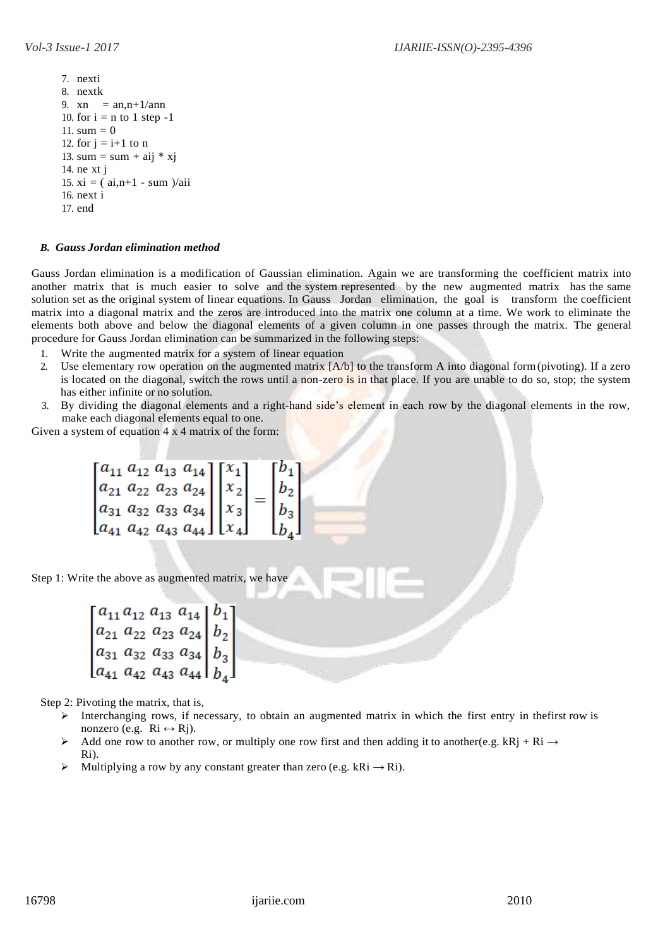7. nexti 8. nextk 9.  $xn = an, n+1/ann$ 10. for  $i = n$  to 1 step -1 11.  $sum = 0$ 12. for  $j = i+1$  to n 13. sum = sum + aij  $*$  xj 14. ne xt j 15. xi =  $($  ai, n+1 - sum  $)/$ aii 16. next i 17. end

# *B. Gauss Jordan elimination method*

Gauss Jordan elimination is a modification of Gaussian elimination. Again we are transforming the coefficient matrix into another matrix that is much easier to solve and the system represented by the new augmented matrix has the same solution set as the original system of linear equations. In Gauss Jordan elimination, the goal is transform the coefficient matrix into a diagonal matrix and the zeros are introduced into the matrix one column at a time. We work to eliminate the elements both above and below the diagonal elements of a given column in one passes through the matrix. The general procedure for Gauss Jordan elimination can be summarized in the following steps:

- 1. Write the augmented matrix for a system of linear equation
- 2. Use elementary row operation on the augmented matrix [A/b] to the transform A into diagonal form(pivoting). If a zero is located on the diagonal, switch the rows until a non-zero is in that place. If you are unable to do so, stop; the system has either infinite or no solution.
- 3. By dividing the diagonal elements and a right-hand side's element in each row by the diagonal elements in the row, make each diagonal elements equal to one.

Given a system of equation 4 x 4 matrix of the form:

|                                                                                                                                                                                                                                           | $\lceil b_1 \rceil$                               |
|-------------------------------------------------------------------------------------------------------------------------------------------------------------------------------------------------------------------------------------------|---------------------------------------------------|
|                                                                                                                                                                                                                                           |                                                   |
|                                                                                                                                                                                                                                           |                                                   |
| $\begin{bmatrix} a_{11} & a_{12} & a_{13} & a_{14} \\ a_{21} & a_{22} & a_{23} & a_{24} \\ a_{31} & a_{32} & a_{33} & a_{34} \\ a_{41} & a_{42} & a_{43} & a_{44} \end{bmatrix} \begin{bmatrix} x_1 \\ x_2 \\ x_3 \\ x_4 \end{bmatrix} =$ | $\begin{bmatrix} b_2 \\ b_3 \\ b_4 \end{bmatrix}$ |

Step 1: Write the above as augmented matrix, we have

```
\begin{bmatrix} a_{11} & a_{12} & a_{13} & a_{14} \ a_{21} & a_{22} & a_{23} & a_{24} \ a_{31} & a_{32} & a_{33} & a_{34} \ a_{41} & a_{42} & a_{43} & a_{44} \end{bmatrix} \begin{bmatrix} b_1 \ b_2 \ b_3 \end{bmatrix}
```
Step 2: Pivoting the matrix, that is,

- Interchanging rows, if necessary, to obtain an augmented matrix in which the first entry in the first row is nonzero (e.g.  $\operatorname{R}i \leftrightarrow \operatorname{R}j$ ).
- Add one row to another row, or multiply one row first and then adding it to another(e.g. kRj + Ri  $\rightarrow$ Ri).
- Multiplying a row by any constant greater than zero (e.g. kRi  $\rightarrow$  Ri).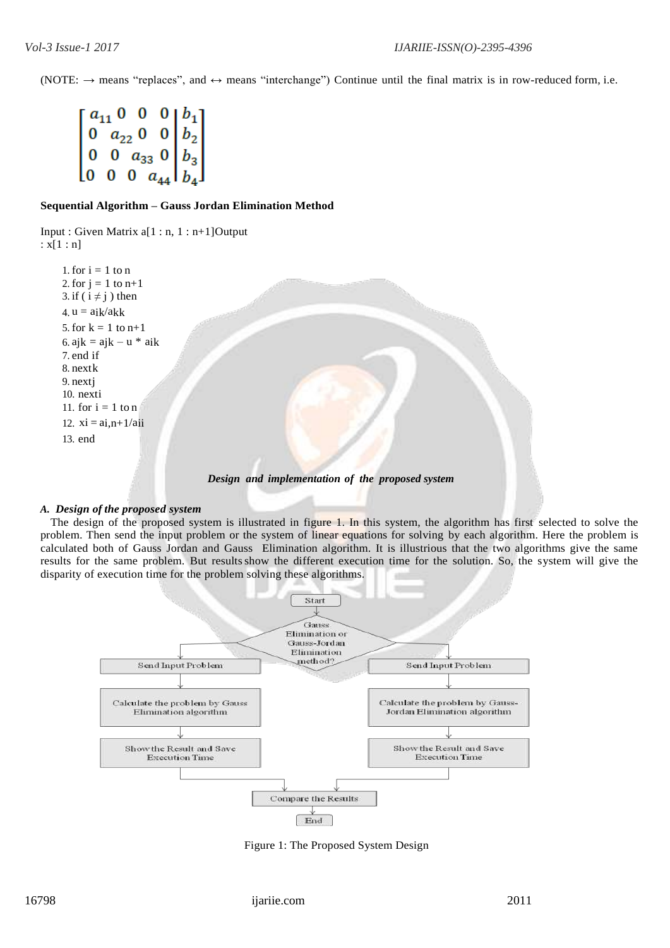(NOTE:  $\rightarrow$  means "replaces", and  $\leftrightarrow$  means "interchange") Continue until the final matrix is in row-reduced form, i.e.

 $\begin{bmatrix} a_{11} & 0 & 0 & 0 & b_1 \\ 0 & a_{22} & 0 & 0 & b_2 \\ 0 & 0 & a_{33} & 0 & b_3 \\ 0 & 0 & 0 & a_{44} & b_4 \end{bmatrix}$ 

# **Sequential Algorithm – Gauss Jordan Elimination Method**

Input : Given Matrix a[1 : n, 1 : n+1]Output :  $x[1:n]$ 

1. for  $i = 1$  to n 2. for  $j = 1$  to  $n+1$ 3. if ( $i \neq j$ ) then 4.  $u = a_{ik}/a_{kk}$ 5. for  $k = 1$  to  $n+1$ 6. aj $k = ajk - u * aik$ 7. end if 8. nextk 9. nextj 10. nexti 11. for  $i = 1$  to n 12.  $xi = a_{i,n+1}/a_{ii}$ 13. end

*Design and implementation of the proposed system*

# *A. Design of the proposed system*

The design of the proposed system is illustrated in figure 1. In this system, the algorithm has first selected to solve the problem. Then send the input problem or the system of linear equations for solving by each algorithm. Here the problem is calculated both of Gauss Jordan and Gauss Elimination algorithm. It is illustrious that the two algorithms give the same results for the same problem. But results show the different execution time for the solution. So, the system will give the disparity of execution time for the problem solving these algorithms.



Figure 1: The Proposed System Design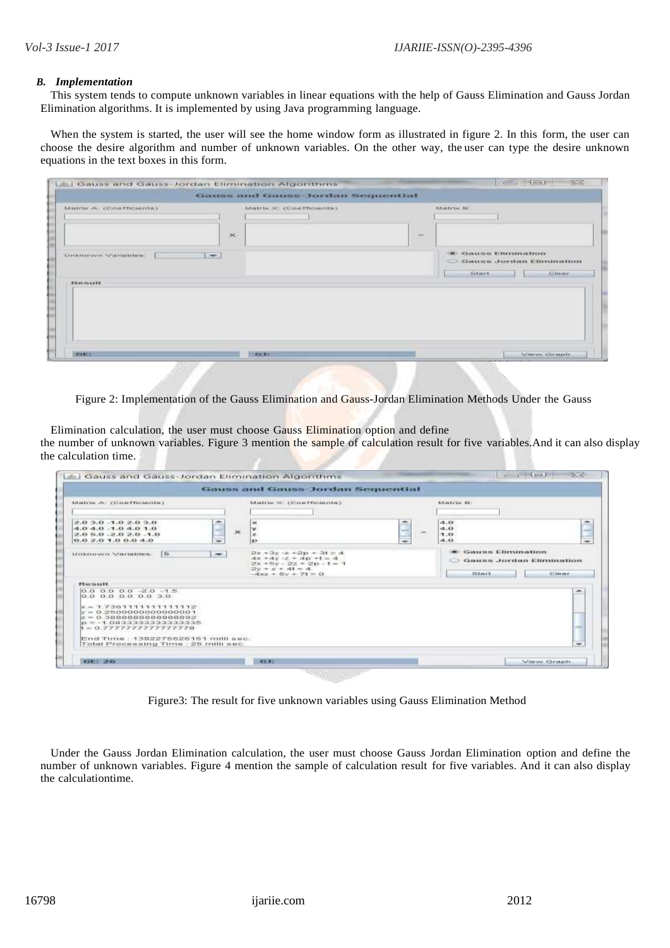#### *B. Implementation*

This system tends to compute unknown variables in linear equations with the help of Gauss Elimination and Gauss Jordan Elimination algorithms. It is implemented by using Java programming language.

When the system is started, the user will see the home window form as illustrated in figure 2. In this form, the user can choose the desire algorithm and number of unknown variables. On the other way, the user can type the desire unknown equations in the text boxes in this form.

| Matrix A (Confricients) |             | Gauss and Gauss-Jordan Sequential<br>Matrix > (Contribinate) |               | <b>MATER II</b>                                                                           |
|-------------------------|-------------|--------------------------------------------------------------|---------------|-------------------------------------------------------------------------------------------|
| Unknower Variations     | x<br>$\sim$ |                                                              | $\frac{1}{2}$ | <b>GET CLOSES-6 ENFITTEERDOFF</b><br>C Gauss Jordan Elimination<br>SILIT.<br><b>CHILE</b> |
| <b>FORWART</b>          |             |                                                              |               |                                                                                           |
|                         |             |                                                              |               |                                                                                           |

Figure 2: Implementation of the Gauss Elimination and Gauss-Jordan Elimination Methods Under the Gauss

Elimination calculation, the user must choose Gauss Elimination option and define the number of unknown variables. Figure 3 mention the sample of calculation result for five variables. And it can also display the calculation time.

| <b>MATCH III</b><br>Matrix Al (Contribution)<br>Matrix X: (Conthomnia)<br>â<br>$\overline{\phantom{a}}$<br>2.03.011.02.03.0<br>m.<br>$-1.13$<br>×<br>-<br>ш<br>4.01<br>4.0.4.0.1.0.4.0.1.0<br>v<br>œ<br>$\infty$<br>3.0<br>a d<br>2.0.6.0.2.0.2.0.1.0<br>×<br>÷<br>₩<br>$\overline{\phantom{a}}$<br>٠<br>$-1.11$<br>0.02.01.00.04.0<br><b>KX</b><br><b>B Gaune Elessination</b><br>$2x + 3y - x + 2p + 2t = 4$<br>$\sim$<br>$55 -$<br>Unionswit Variation.<br>$4x + 4y - z + 4p + 5 = 4$<br><b>Course Jordan Elimination</b><br>$20x + 6y = 22 + 20 - 1 = 3$<br>$29 + 24 + 41 = 4$<br>$-4xx + 6y + 71 = 0$<br>Elean<br><b>Binder</b><br><b>FEATURER</b><br>$0.0$ 0.0 0.0 $-2.0$ -1.5<br>on.<br>0.0 0.0 0.0 0.0 3.0<br>$x = 1.73611111111111111$<br>$V = 0.25000000000000001$<br>$ z=0.3800000000000002$<br>$p = -1.0833333333333335$<br>$t = 0.777777777777798$<br>End Time : 1392276626161 milli sec.<br>Total Processing Time : 26 milli sec.<br>$\sim$ | Gauss and Gauss-Jordan Sequential |  |
|-----------------------------------------------------------------------------------------------------------------------------------------------------------------------------------------------------------------------------------------------------------------------------------------------------------------------------------------------------------------------------------------------------------------------------------------------------------------------------------------------------------------------------------------------------------------------------------------------------------------------------------------------------------------------------------------------------------------------------------------------------------------------------------------------------------------------------------------------------------------------------------------------------------------------------------------------------------|-----------------------------------|--|
|                                                                                                                                                                                                                                                                                                                                                                                                                                                                                                                                                                                                                                                                                                                                                                                                                                                                                                                                                           |                                   |  |
|                                                                                                                                                                                                                                                                                                                                                                                                                                                                                                                                                                                                                                                                                                                                                                                                                                                                                                                                                           |                                   |  |

Figure3: The result for five unknown variables using Gauss Elimination Method

Under the Gauss Jordan Elimination calculation, the user must choose Gauss Jordan Elimination option and define the number of unknown variables. Figure 4 mention the sample of calculation result for five variables. And it can also display the calculationtime.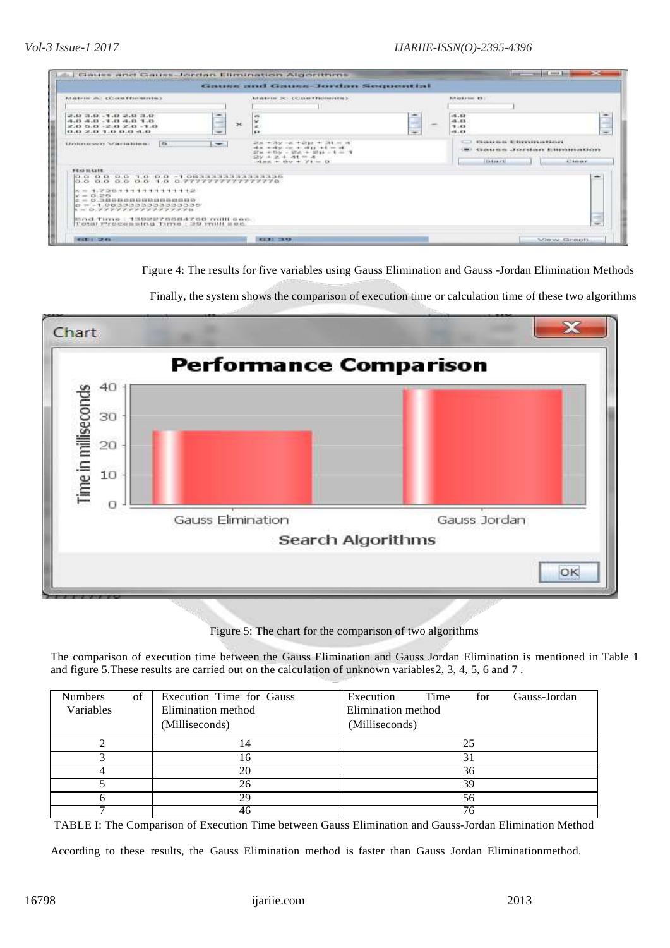|                                                                                                                                                                                                                                                                                                                        |                                                                                                                                                              | Goungs and Goungs-Jordan Sequential                                                          |                                                                                    |                                                |
|------------------------------------------------------------------------------------------------------------------------------------------------------------------------------------------------------------------------------------------------------------------------------------------------------------------------|--------------------------------------------------------------------------------------------------------------------------------------------------------------|----------------------------------------------------------------------------------------------|------------------------------------------------------------------------------------|------------------------------------------------|
| Allertrise also CC crestfiesterrites in<br>(1.1, 0.4, 0.1, 0.1, 0.4, 0.4)<br>2.0 6.0 - 2.0 2.0 - 1.0<br>0.0 2.0 1.0 0.0 4.0                                                                                                                                                                                            | Allectrise DC: (Class/Prostoretos).<br>Ó<br>$\overline{a}$<br>$\rightarrow$<br>×<br>×<br>$\overline{\phantom{a}}$<br><b>K3</b>                               | <b>COLLEGE</b><br>$\overline{\phantom{a}}$<br><b>CARD</b><br><b>Service</b><br>$\rightarrow$ | <b>Educational Phil</b><br>$-1.03$<br>4.01<br>9.10<br>41.83                        | È<br>Ξ                                         |
| <b>Les</b><br>Gridensrover Scherinkilms.<br><b>STATISTICS</b><br>which is a strong and the state of the                                                                                                                                                                                                                | $208 + 789 = 8 + 2048 + 104$ with<br>$-$<br>$4x + 4y - x + 4p + 1 = 4$ .<br>$27m \to 15M = 27m \to 27m = 4 = 7$<br>$2x + 2x + 4x = 4$<br>$-4x + 4y + 71 = 0$ |                                                                                              | <b>Changeman Biderynees in their</b><br>Gauntan Jordan Burnungun<br><b>FEARING</b> | <b>ATABAKE</b>                                 |
| <b>FEASTRATE</b><br>0.0 0.0 0.0 1.0 0.0 -1.08333333333333333<br>0.0 0.0 0.0 0.0 1.0 0.7777777777777778<br>$x = A$ , $700111111111111111112$<br>$x = 0.255$<br>000000000000000000000<br>lt - ロ ブプアプアアアアアプリアファアアは<br>ETCH CLITTERS CITATIONS FOR BUILDING CONTROL CONTROL<br>Total Processing that Time : 200 milli sec. |                                                                                                                                                              |                                                                                              |                                                                                    | المتقاد<br><b>College College</b><br>$-1$<br>÷ |

Figure 4: The results for five variables using Gauss Elimination and Gauss -Jordan Elimination Methods



Finally, the system shows the comparison of execution time or calculation time of these two algorithms

Figure 5: The chart for the comparison of two algorithms

The comparison of execution time between the Gauss Elimination and Gauss Jordan Elimination is mentioned in Table 1 and figure 5.These results are carried out on the calculation of unknown variables2, 3, 4, 5, 6 and 7 .

| <b>Numbers</b><br>of<br>Variables | Execution Time for Gauss<br>Elimination method<br>(Milliseconds) | Execution<br>Time<br>Gauss-Jordan<br>for<br>Elimination method<br>(Milliseconds) |
|-----------------------------------|------------------------------------------------------------------|----------------------------------------------------------------------------------|
|                                   | 14                                                               | 25                                                                               |
|                                   | 16                                                               |                                                                                  |
|                                   | 20                                                               | 36                                                                               |
|                                   | 26                                                               | 39                                                                               |
|                                   | 29                                                               | 56                                                                               |
|                                   | 46                                                               | 76                                                                               |

TABLE I: The Comparison of Execution Time between Gauss Elimination and Gauss-Jordan Elimination Method

According to these results, the Gauss Elimination method is faster than Gauss Jordan Eliminationmethod.